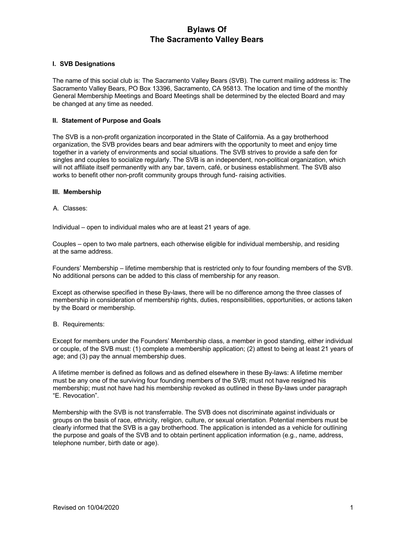## **I. SVB Designations**

The name of this social club is: The Sacramento Valley Bears (SVB). The current mailing address is: The Sacramento Valley Bears, PO Box 13396, Sacramento, CA 95813. The location and time of the monthly General Membership Meetings and Board Meetings shall be determined by the elected Board and may be changed at any time as needed.

## **II. Statement of Purpose and Goals**

The SVB is a non-profit organization incorporated in the State of California. As a gay brotherhood organization, the SVB provides bears and bear admirers with the opportunity to meet and enjoy time together in a variety of environments and social situations. The SVB strives to provide a safe den for singles and couples to socialize regularly. The SVB is an independent, non-political organization, which will not affiliate itself permanently with any bar, tavern, café, or business establishment. The SVB also works to benefit other non-profit community groups through fund- raising activities.

### **III. Membership**

A. Classes:

Individual – open to individual males who are at least 21 years of age.

Couples – open to two male partners, each otherwise eligible for individual membership, and residing at the same address.

Founders' Membership – lifetime membership that is restricted only to four founding members of the SVB. No additional persons can be added to this class of membership for any reason.

Except as otherwise specified in these By-laws, there will be no difference among the three classes of membership in consideration of membership rights, duties, responsibilities, opportunities, or actions taken by the Board or membership.

### B. Requirements:

Except for members under the Founders' Membership class, a member in good standing, either individual or couple, of the SVB must: (1) complete a membership application; (2) attest to being at least 21 years of age; and (3) pay the annual membership dues.

A lifetime member is defined as follows and as defined elsewhere in these By-laws: A lifetime member must be any one of the surviving four founding members of the SVB; must not have resigned his membership; must not have had his membership revoked as outlined in these By-laws under paragraph "E. Revocation".

Membership with the SVB is not transferrable. The SVB does not discriminate against individuals or groups on the basis of race, ethnicity, religion, culture, or sexual orientation. Potential members must be clearly informed that the SVB is a gay brotherhood. The application is intended as a vehicle for outlining the purpose and goals of the SVB and to obtain pertinent application information (e.g., name, address, telephone number, birth date or age).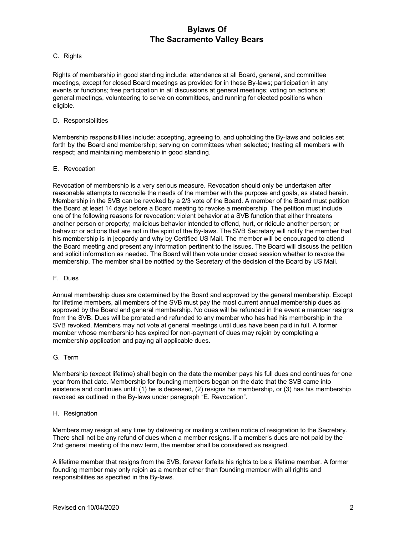# C. Rights

Rights of membership in good standing include: attendance at all Board, general, and committee meetings, except for closed Board meetings as provided for in these By-laws; participation in any events or functions; free participation in all discussions at general meetings; voting on actions at general meetings, volunteering to serve on committees, and running for elected positions when eligible.

### D. Responsibilities

Membership responsibilities include: accepting, agreeing to, and upholding the By-laws and policies set forth by the Board and membership; serving on committees when selected; treating all members with respect; and maintaining membership in good standing.

## E. Revocation

Revocation of membership is a very serious measure. Revocation should only be undertaken after reasonable attempts to reconcile the needs of the member with the purpose and goals, as stated herein. Membership in the SVB can be revoked by a 2/3 vote of the Board. A member of the Board must petition the Board at least 14 days before a Board meeting to revoke a membership. The petition must include one of the following reasons for revocation: violent behavior at a SVB function that either threatens another person or property; malicious behavior intended to offend, hurt, or ridicule another person; or behavior or actions that are not in the spirit of the By-laws. The SVB Secretary will notify the member that his membership is in jeopardy and why by Certified US Mail. The member will be encouraged to attend the Board meeting and present any information pertinent to the issues. The Board will discuss the petition and solicit information as needed. The Board will then vote under closed session whether to revoke the membership. The member shall be notified by the Secretary of the decision of the Board by US Mail.

### F. Dues

Annual membership dues are determined by the Board and approved by the general membership. Except for lifetime members, all members of the SVB must pay the most current annual membership dues as approved by the Board and general membership*.* No dues will be refunded in the event a member resigns from the SVB. Dues will be prorated and refunded to any member who has had his membership in the SVB revoked. Members may not vote at general meetings until dues have been paid in full. A former member whose membership has expired for non-payment of dues may rejoin by completing a membership application and paying all applicable dues.

### G. Term

Membership (except lifetime) shall begin on the date the member pays his full dues and continues for one year from that date. Membership for founding members began on the date that the SVB came into existence and continues until: (1) he is deceased, (2) resigns his membership, or (3) has his membership revoked as outlined in the By-laws under paragraph "E. Revocation".

### H. Resignation

Members may resign at any time by delivering or mailing a written notice of resignation to the Secretary. There shall not be any refund of dues when a member resigns. If a member's dues are not paid by the 2nd general meeting of the new term, the member shall be considered as resigned.

A lifetime member that resigns from the SVB, forever forfeits his rights to be a lifetime member. A former founding member may only rejoin as a member other than founding member with all rights and responsibilities as specified in the By-laws.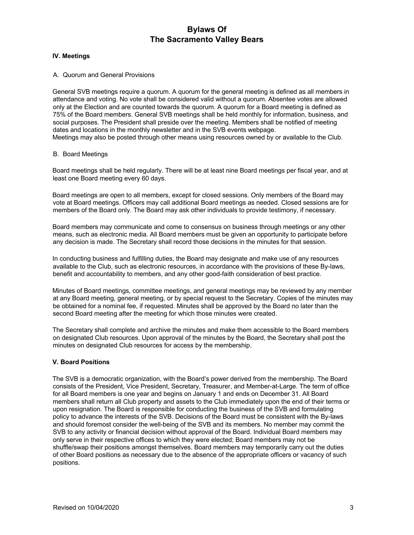## **IV. Meetings**

### A. Quorum and General Provisions

General SVB meetings require a quorum. A quorum for the general meeting is defined as all members in attendance and voting. No vote shall be considered valid without a quorum. Absentee votes are allowed only at the Election and are counted towards the quorum. A quorum for a Board meeting is defined as 75% of the Board members. General SVB meetings shall be held monthly for information, business, and social purposes. The President shall preside over the meeting. Members shall be notified of meeting dates and locations in the monthly newsletter and in the SVB events webpage. Meetings may also be posted through other means using resources owned by or available to the Club.

## B. Board Meetings

Board meetings shall be held regularly. There will be at least nine Board meetings per fiscal year, and at least one Board meeting every 60 days.

Board meetings are open to all members, except for closed sessions. Only members of the Board may vote at Board meetings. Officers may call additional Board meetings as needed. Closed sessions are for members of the Board only. The Board may ask other individuals to provide testimony, if necessary.

Board members may communicate and come to consensus on business through meetings or any other means, such as electronic media. All Board members must be given an opportunity to participate before any decision is made. The Secretary shall record those decisions in the minutes for that session.

In conducting business and fulfilling duties, the Board may designate and make use of any resources available to the Club, such as electronic resources, in accordance with the provisions of these By-laws, benefit and accountability to members, and any other good-faith consideration of best practice.

Minutes of Board meetings, committee meetings, and general meetings may be reviewed by any member at any Board meeting, general meeting, or by special request to the Secretary. Copies of the minutes may be obtained for a nominal fee, if requested. Minutes shall be approved by the Board no later than the second Board meeting after the meeting for which those minutes were created.

The Secretary shall complete and archive the minutes and make them accessible to the Board members on designated Club resources. Upon approval of the minutes by the Board, the Secretary shall post the minutes on designated Club resources for access by the membership.

# **V. Board Positions**

The SVB is a democratic organization, with the Board's power derived from the membership. The Board consists of the President, Vice President, Secretary, Treasurer, and Member-at-Large. The term of office for all Board members is one year and begins on January 1 and ends on December 31. All Board members shall return all Club property and assets to the Club immediately upon the end of their terms or upon resignation. The Board is responsible for conducting the business of the SVB and formulating policy to advance the interests of the SVB. Decisions of the Board must be consistent with the By-laws and should foremost consider the well-being of the SVB and its members. No member may commit the SVB to any activity or financial decision without approval of the Board. Individual Board members may only serve in their respective offices to which they were elected; Board members may not be shuffle/swap their positions amongst themselves. Board members may temporarily carry out the duties of other Board positions as necessary due to the absence of the appropriate officers or vacancy of such positions.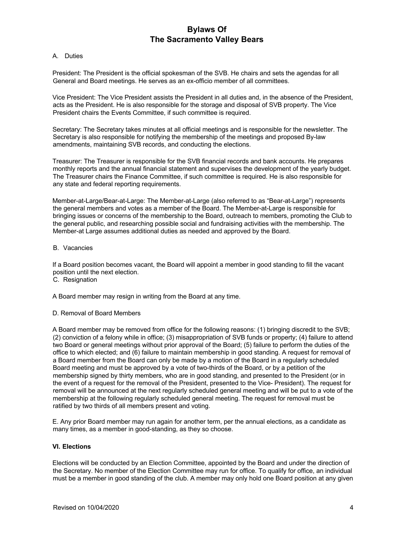### A. Duties

President: The President is the official spokesman of the SVB. He chairs and sets the agendas for all General and Board meetings. He serves as an ex-officio member of all committees.

Vice President: The Vice President assists the President in all duties and, in the absence of the President, acts as the President. He is also responsible for the storage and disposal of SVB property. The Vice President chairs the Events Committee, if such committee is required.

Secretary: The Secretary takes minutes at all official meetings and is responsible for the newsletter. The Secretary is also responsible for notifying the membership of the meetings and proposed By-law amendments, maintaining SVB records, and conducting the elections.

Treasurer: The Treasurer is responsible for the SVB financial records and bank accounts. He prepares monthly reports and the annual financial statement and supervises the development of the yearly budget. The Treasurer chairs the Finance Committee, if such committee is required. He is also responsible for any state and federal reporting requirements.

Member-at-Large/Bear-at-Large: The Member-at-Large (also referred to as "Bear-at-Large") represents the general members and votes as a member of the Board. The Member-at-Large is responsible for bringing issues or concerns of the membership to the Board, outreach to members, promoting the Club to the general public, and researching possible social and fundraising activities with the membership. The Member-at Large assumes additional duties as needed and approved by the Board.

### B. Vacancies

If a Board position becomes vacant, the Board will appoint a member in good standing to fill the vacant position until the next election.

C. Resignation

A Board member may resign in writing from the Board at any time.

# D. Removal of Board Members

A Board member may be removed from office for the following reasons: (1) bringing discredit to the SVB; (2) conviction of a felony while in office; (3) misappropriation of SVB funds or property; (4) failure to attend two Board or general meetings without prior approval of the Board; (5) failure to perform the duties of the office to which elected; and (6) failure to maintain membership in good standing. A request for removal of a Board member from the Board can only be made by a motion of the Board in a regularly scheduled Board meeting and must be approved by a vote of two-thirds of the Board, or by a petition of the membership signed by thirty members, who are in good standing, and presented to the President (or in the event of a request for the removal of the President, presented to the Vice- President). The request for removal will be announced at the next regularly scheduled general meeting and will be put to a vote of the membership at the following regularly scheduled general meeting. The request for removal must be ratified by two thirds of all members present and voting.

E. Any prior Board member may run again for another term, per the annual elections, as a candidate as many times, as a member in good-standing, as they so choose.

# **VI. Elections**

Elections will be conducted by an Election Committee, appointed by the Board and under the direction of the Secretary. No member of the Election Committee may run for office. To qualify for office, an individual must be a member in good standing of the club. A member may only hold one Board position at any given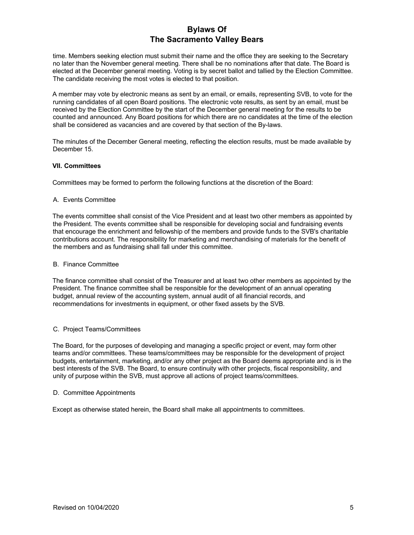time. Members seeking election must submit their name and the office they are seeking to the Secretary no later than the November general meeting. There shall be no nominations after that date. The Board is elected at the December general meeting. Voting is by secret ballot and tallied by the Election Committee. The candidate receiving the most votes is elected to that position.

A member may vote by electronic means as sent by an email, or emails, representing SVB, to vote for the running candidates of all open Board positions. The electronic vote results, as sent by an email, must be received by the Election Committee by the start of the December general meeting for the results to be counted and announced. Any Board positions for which there are no candidates at the time of the election shall be considered as vacancies and are covered by that section of the By-laws.

The minutes of the December General meeting, reflecting the election results, must be made available by December 15.

## **VII. Committees**

Committees may be formed to perform the following functions at the discretion of the Board:

## A. Events Committee

The events committee shall consist of the Vice President and at least two other members as appointed by the President. The events committee shall be responsible for developing social and fundraising events that encourage the enrichment and fellowship of the members and provide funds to the SVB's charitable contributions account. The responsibility for marketing and merchandising of materials for the benefit of the members and as fundraising shall fall under this committee.

### B. Finance Committee

The finance committee shall consist of the Treasurer and at least two other members as appointed by the President. The finance committee shall be responsible for the development of an annual operating budget, annual review of the accounting system, annual audit of all financial records, and recommendations for investments in equipment, or other fixed assets by the SVB.

# C. Project Teams/Committees

The Board, for the purposes of developing and managing a specific project or event, may form other teams and/or committees. These teams/committees may be responsible for the development of project budgets, entertainment, marketing, and/or any other project as the Board deems appropriate and is in the best interests of the SVB. The Board, to ensure continuity with other projects, fiscal responsibility, and unity of purpose within the SVB, must approve all actions of project teams/committees.

### D. Committee Appointments

Except as otherwise stated herein, the Board shall make all appointments to committees.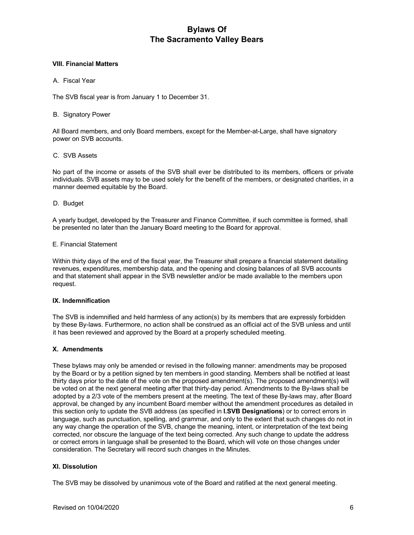## **VIII. Financial Matters**

## A. Fiscal Year

The SVB fiscal year is from January 1 to December 31.

### B. Signatory Power

All Board members, and only Board members, except for the Member-at-Large, shall have signatory power on SVB accounts.

## C. SVB Assets

No part of the income or assets of the SVB shall ever be distributed to its members, officers or private individuals. SVB assets may to be used solely for the benefit of the members, or designated charities, in a manner deemed equitable by the Board.

### D. Budget

A yearly budget, developed by the Treasurer and Finance Committee, if such committee is formed, shall be presented no later than the January Board meeting to the Board for approval.

## E. Financial Statement

Within thirty days of the end of the fiscal year, the Treasurer shall prepare a financial statement detailing revenues, expenditures, membership data, and the opening and closing balances of all SVB accounts and that statement shall appear in the SVB newsletter and/or be made available to the members upon request.

# **IX. Indemnification**

The SVB is indemnified and held harmless of any action(s) by its members that are expressly forbidden by these By-laws. Furthermore, no action shall be construed as an official act of the SVB unless and until it has been reviewed and approved by the Board at a properly scheduled meeting.

# **X. Amendments**

These bylaws may only be amended or revised in the following manner: amendments may be proposed by the Board or by a petition signed by ten members in good standing. Members shall be notified at least thirty days prior to the date of the vote on the proposed amendment(s). The proposed amendment(s) will be voted on at the next general meeting after that thirty-day period. Amendments to the By-laws shall be adopted by a 2/3 vote of the members present at the meeting. The text of these By-laws may, after Board approval, be changed by any incumbent Board member without the amendment procedures as detailed in this section only to update the SVB address (as specified in **I.SVB Designations**) or to correct errors in language, such as punctuation, spelling, and grammar, and only to the extent that such changes do not in any way change the operation of the SVB, change the meaning, intent, or interpretation of the text being corrected, nor obscure the language of the text being corrected. Any such change to update the address or correct errors in language shall be presented to the Board, which will vote on those changes under consideration. The Secretary will record such changes in the Minutes.

# **XI. Dissolution**

The SVB may be dissolved by unanimous vote of the Board and ratified at the next general meeting.